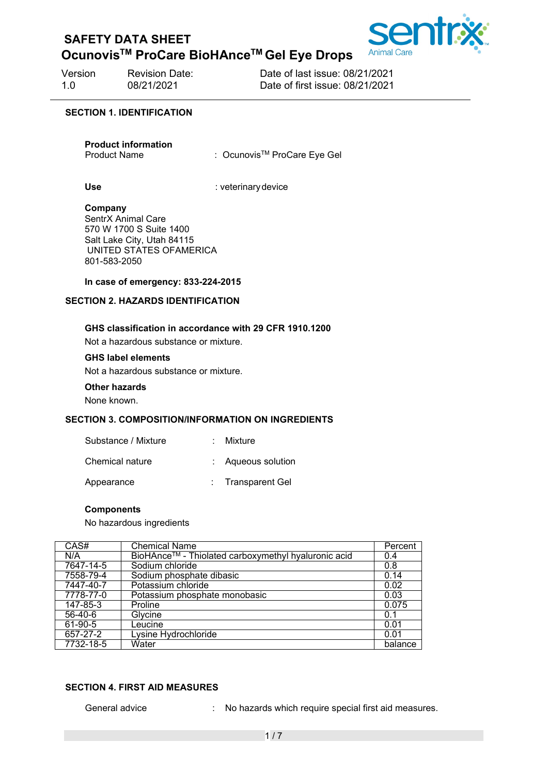## **OcunovisTM ProCare BioHAnceTM Gel Eye Drops**



Version Revision Date: Date of last issue: 08/21/2021 1.0 08/21/2021 Date of first issue: 08/21/2021

#### **SECTION 1. IDENTIFICATION**

**Product information**

: Ocunovis<sup>™</sup> ProCare Eye Gel

Use **Use** : veterinary device

#### **Company**

SentrX Animal Care 570 W 1700 S Suite 1400 Salt Lake City, Utah 84115 UNITED STATES OFAMERICA 801-583-2050

#### **In case of emergency: 833-224-2015**

#### **SECTION 2. HAZARDS IDENTIFICATION**

#### **GHS classification in accordance with 29 CFR 1910.1200**

Not a hazardous substance or mixture.

#### **GHS label elements**

Not a hazardous substance or mixture.

#### **Other hazards**

None known.

#### **SECTION 3. COMPOSITION/INFORMATION ON INGREDIENTS**

| Substance / Mixture | Mixture |
|---------------------|---------|
|                     |         |

Chemical nature : Aqueous solution

Appearance : Transparent Gel

#### **Components**

No hazardous ingredients

| CAS#      | <b>Chemical Name</b>                                | Percent |
|-----------|-----------------------------------------------------|---------|
| N/A       | BioHAnce™ - Thiolated carboxymethyl hyaluronic acid | 0.4     |
| 7647-14-5 | Sodium chloride                                     | 0.8     |
| 7558-79-4 | Sodium phosphate dibasic                            | 0.14    |
| 7447-40-7 | Potassium chloride                                  | 0.02    |
| 7778-77-0 | Potassium phosphate monobasic                       | 0.03    |
| 147-85-3  | Proline                                             | 0.075   |
| $56-40-6$ | Glycine                                             | 0.1     |
| 61-90-5   | Leucine                                             | 0.01    |
| 657-27-2  | Lysine Hydrochloride                                | 0.01    |
| 7732-18-5 | Water                                               | balance |

#### **SECTION 4. FIRST AID MEASURES**

General advice : No hazards which require special first aid measures.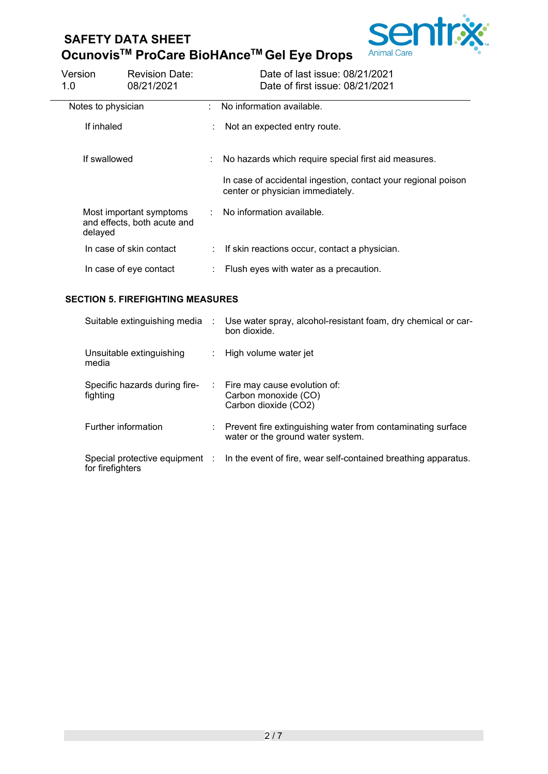# **SAFETY DATA SHEET OcunovisTM ProCare BioHAnceTM Gel Eye Drops**



| Version<br>1.0     | <b>Revision Date:</b><br>08/21/2021                    |    | Date of last issue: 08/21/2021<br>Date of first issue: 08/21/2021                                 |
|--------------------|--------------------------------------------------------|----|---------------------------------------------------------------------------------------------------|
| Notes to physician |                                                        | t. | No information available.                                                                         |
| If inhaled         |                                                        | ÷  | Not an expected entry route.                                                                      |
| If swallowed       |                                                        |    | No hazards which require special first aid measures.                                              |
|                    |                                                        |    | In case of accidental ingestion, contact your regional poison<br>center or physician immediately. |
| delayed            | Most important symptoms<br>and effects, both acute and |    | : No information available.                                                                       |
|                    | In case of skin contact                                |    | If skin reactions occur, contact a physician.                                                     |
|                    | In case of eye contact                                 |    | Flush eyes with water as a precaution.                                                            |

#### **SECTION 5. FIREFIGHTING MEASURES**

| Suitable extinguishing media :            | Use water spray, alcohol-resistant foam, dry chemical or car-<br>bon dioxide.                      |
|-------------------------------------------|----------------------------------------------------------------------------------------------------|
| Unsuitable extinguishing<br>media         | : High volume water jet                                                                            |
| Specific hazards during fire-<br>fighting | $\therefore$ Fire may cause evolution of:<br>Carbon monoxide (CO)<br>Carbon dioxide (CO2)          |
| Further information                       | : Prevent fire extinguishing water from contaminating surface<br>water or the ground water system. |
| for firefighters                          | Special protective equipment : In the event of fire, wear self-contained breathing apparatus.      |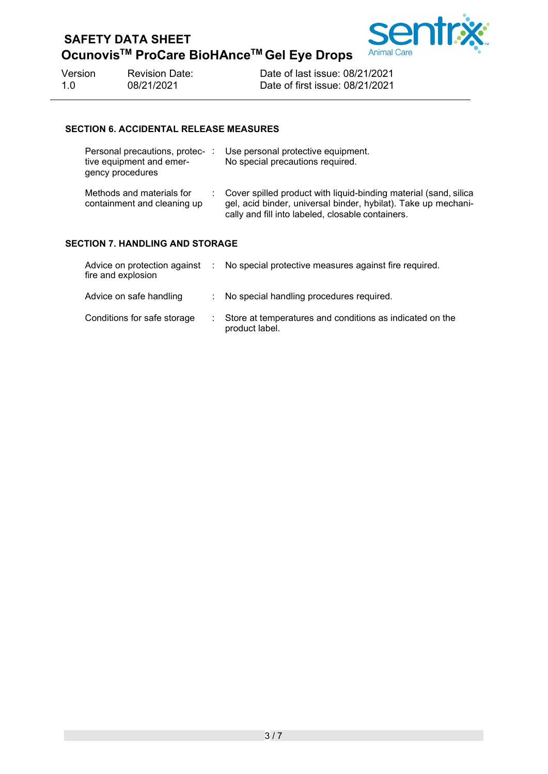## **SAFETY DATA SHEET OcunovisTM ProCare BioHAnceTM Gel Eye Drops**



Version Revision Date: Date of last issue: 08/21/2021<br>1.0 08/21/2021 Date of first issue: 08/21/2021

Date of first issue: 08/21/2021

#### **SECTION 6. ACCIDENTAL RELEASE MEASURES**

| Personal precautions, protec-:<br>tive equipment and emer-<br>gency procedures |  | Use personal protective equipment.<br>No special precautions required.                                                                                                                  |  |  |
|--------------------------------------------------------------------------------|--|-----------------------------------------------------------------------------------------------------------------------------------------------------------------------------------------|--|--|
| Methods and materials for<br>containment and cleaning up                       |  | Cover spilled product with liquid-binding material (sand, silica<br>gel, acid binder, universal binder, hybilat). Take up mechani-<br>cally and fill into labeled, closable containers. |  |  |
| SECTION 7. HANDLING AND STORAGE                                                |  |                                                                                                                                                                                         |  |  |

| fire and explosion          | Advice on protection against : No special protective measures against fire required. |
|-----------------------------|--------------------------------------------------------------------------------------|
| Advice on safe handling     | No special handling procedures required.                                             |
| Conditions for safe storage | Store at temperatures and conditions as indicated on the<br>product label.           |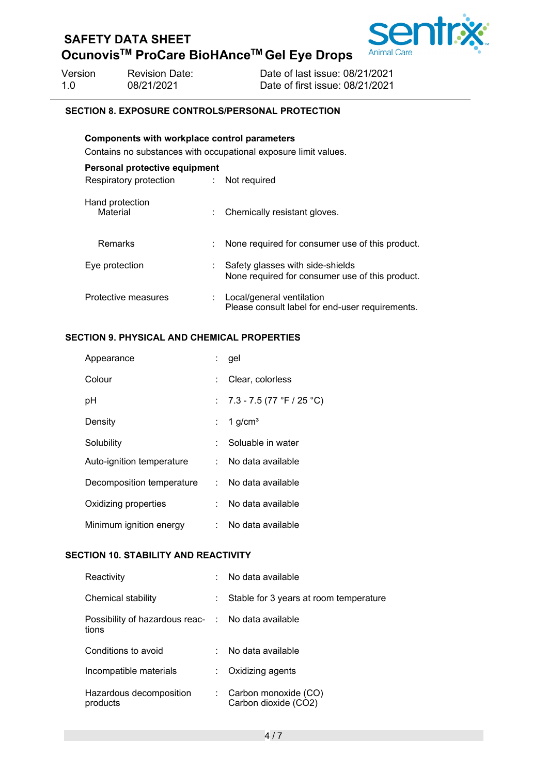## **OcunovisTM ProCare BioHAnceTM Gel Eye Drops**



Version Revision Date: Date of last issue: 08/21/2021 1.0 08/21/2021 Date of first issue: 08/21/2021

#### **SECTION 8. EXPOSURE CONTROLS/PERSONAL PROTECTION**

### **Components with workplace control parameters** Contains no substances with occupational exposure limit values. **Personal protective equipment**

| Respiratory protection      | Not required                                                                        |
|-----------------------------|-------------------------------------------------------------------------------------|
| Hand protection<br>Material | Chemically resistant gloves.                                                        |
| Remarks                     | : None required for consumer use of this product.                                   |
| Eye protection              | Safety glasses with side-shields<br>None required for consumer use of this product. |
| Protective measures         | Local/general ventilation<br>Please consult label for end-user requirements.        |

#### **SECTION 9. PHYSICAL AND CHEMICAL PROPERTIES**

| Appearance                | t. | gel                           |
|---------------------------|----|-------------------------------|
| Colour                    |    | Clear, colorless              |
| рH                        |    | : $7.3 - 7.5$ (77 °F / 25 °C) |
| Density                   |    | 1 $g/cm3$                     |
| Solubility                | t. | Soluable in water             |
| Auto-ignition temperature |    | : No data available           |
| Decomposition temperature |    | : No data available           |
| Oxidizing properties      | t. | No data available             |
| Minimum ignition energy   |    | : No data available           |
|                           |    |                               |

#### **SECTION 10. STABILITY AND REACTIVITY**

| Reactivity                                                  | No data available                            |
|-------------------------------------------------------------|----------------------------------------------|
| Chemical stability                                          | Stable for 3 years at room temperature       |
| Possibility of hazardous reac- : No data available<br>tions |                                              |
| Conditions to avoid                                         | No data available                            |
| Incompatible materials                                      | Oxidizing agents                             |
| Hazardous decomposition<br>products                         | Carbon monoxide (CO)<br>Carbon dioxide (CO2) |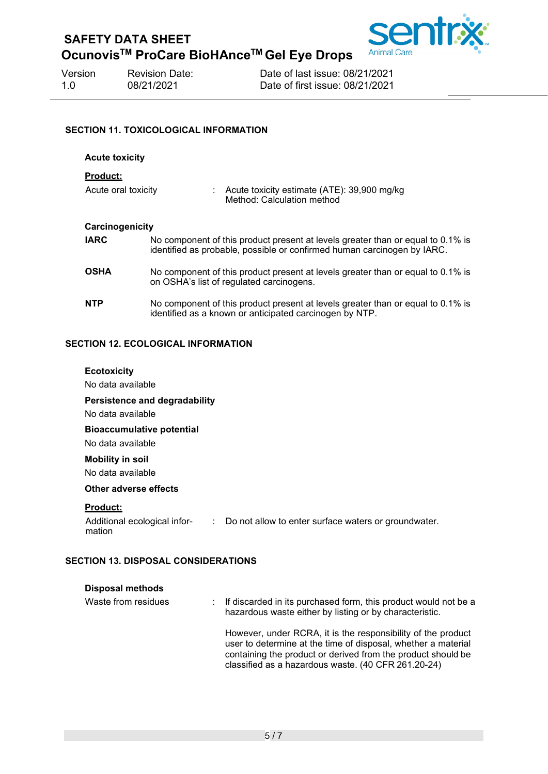

**OcunovisTM ProCare BioHAnceTM Gel Eye Drops**

| Version | <b>Revision Date:</b> |
|---------|-----------------------|
| -1.0    | 08/21/2021            |

Date of last issue: 08/21/2021 Date of first issue: 08/21/2021

#### **SECTION 11. TOXICOLOGICAL INFORMATION**

| <b>Acute toxicity</b>                  |                                                                                                                                                            |  |  |
|----------------------------------------|------------------------------------------------------------------------------------------------------------------------------------------------------------|--|--|
| <u>Product:</u><br>Acute oral toxicity | : Acute toxicity estimate $(ATE)$ : 39,900 mg/kg                                                                                                           |  |  |
|                                        | Method: Calculation method                                                                                                                                 |  |  |
| Carcinogenicity                        |                                                                                                                                                            |  |  |
| <b>IARC</b>                            | No component of this product present at levels greater than or equal to 0.1% is<br>identified as probable, possible or confirmed human carcinogen by IARC. |  |  |
| <b>OSHA</b>                            | No component of this product present at levels greater than or equal to 0.1% is<br>on OSHA's list of regulated carcinogens.                                |  |  |
| <b>NTP</b>                             | No component of this product present at levels greater than or equal to 0.1% is<br>identified as a known or anticipated carcinogen by NTP.                 |  |  |

#### **SECTION 12. ECOLOGICAL INFORMATION**

| <b>Ecotoxicity</b><br>No data available                   |                                                        |
|-----------------------------------------------------------|--------------------------------------------------------|
| Persistence and degradability<br>No data available        |                                                        |
| <b>Bioaccumulative potential</b><br>No data available     |                                                        |
| <b>Mobility in soil</b><br>No data available              |                                                        |
| Other adverse effects                                     |                                                        |
| <u>Product:</u><br>Additional ecological infor-<br>mation | : Do not allow to enter surface waters or groundwater. |

#### **SECTION 13. DISPOSAL CONSIDERATIONS**

| <b>Disposal methods</b> |                                                                                                                                                                                                                                                      |
|-------------------------|------------------------------------------------------------------------------------------------------------------------------------------------------------------------------------------------------------------------------------------------------|
| Waste from residues     | If discarded in its purchased form, this product would not be a<br>hazardous waste either by listing or by characteristic.                                                                                                                           |
|                         | However, under RCRA, it is the responsibility of the product<br>user to determine at the time of disposal, whether a material<br>containing the product or derived from the product should be<br>classified as a hazardous waste. (40 CFR 261.20-24) |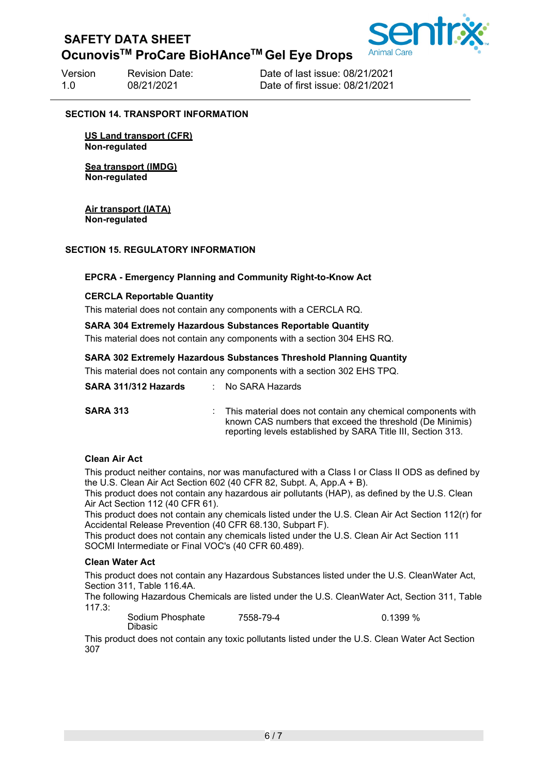## **OcunovisTM ProCare BioHAnceTM Gel Eye Drops**

Version Revision Date: Date of last issue: 08/21/2021 1.0 08/21/2021 Date of first issue: 08/21/2021

#### **SECTION 14. TRANSPORT INFORMATION**

**US Land transport (CFR) Non-regulated**

**Sea transport (IMDG) Non-regulated**

**Air transport (IATA) Non-regulated**

#### **SECTION 15. REGULATORY INFORMATION**

#### **EPCRA - Emergency Planning and Community Right-to-Know Act**

#### **CERCLA Reportable Quantity**

This material does not contain any components with a CERCLA RQ.

#### **SARA 304 Extremely Hazardous Substances Reportable Quantity**

This material does not contain any components with a section 304 EHS RQ.

#### **SARA 302 Extremely Hazardous Substances Threshold Planning Quantity**

This material does not contain any components with a section 302 EHS TPQ.

| SARA 311/312 Hazards | : No SARA Hazards                                                                                                                                                                         |
|----------------------|-------------------------------------------------------------------------------------------------------------------------------------------------------------------------------------------|
| <b>SARA 313</b>      | : This material does not contain any chemical components with<br>known CAS numbers that exceed the threshold (De Minimis)<br>reporting levels established by SARA Title III, Section 313. |

#### **Clean Air Act**

This product neither contains, nor was manufactured with a Class I or Class II ODS as defined by the U.S. Clean Air Act Section 602 (40 CFR 82, Subpt. A, App.A + B).

This product does not contain any hazardous air pollutants (HAP), as defined by the U.S. Clean Air Act Section 112 (40 CFR 61).

This product does not contain any chemicals listed under the U.S. Clean Air Act Section 112(r) for Accidental Release Prevention (40 CFR 68.130, Subpart F).

This product does not contain any chemicals listed under the U.S. Clean Air Act Section 111 SOCMI Intermediate or Final VOC's (40 CFR 60.489).

#### **Clean Water Act**

This product does not contain any Hazardous Substances listed under the U.S. CleanWater Act, Section 311, Table 116.4A.

The following Hazardous Chemicals are listed under the U.S. CleanWater Act, Section 311, Table 117.3:

Sodium Phosphate Dibasic 7558-79-4 0.1399 %

This product does not contain any toxic pollutants listed under the U.S. Clean Water Act Section 307